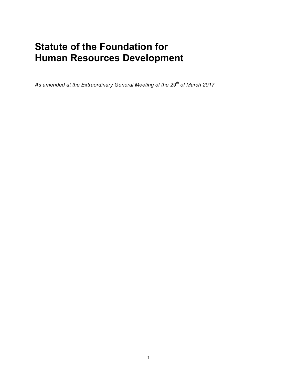# **Statute of the Foundation for Human Resources Development**

*As amended at the Extraordinary General Meeting of the 29th of March 2017*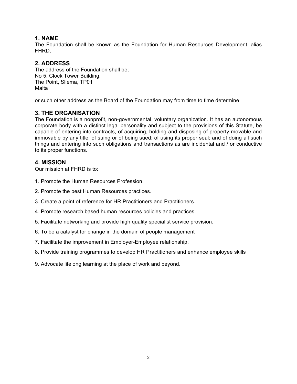# **1. NAME**

The Foundation shall be known as the Foundation for Human Resources Development, alias FHRD.

# **2. ADDRESS**

The address of the Foundation shall be; No 5, Clock Tower Building, The Point, Sliema, TP01 Malta

or such other address as the Board of the Foundation may from time to time determine.

# **3. THE ORGANISATION**

The Foundation is a nonprofit, non-governmental, voluntary organization. It has an autonomous corporate body with a distinct legal personality and subject to the provisions of this Statute, be capable of entering into contracts, of acquiring, holding and disposing of property movable and immovable by any title; of suing or of being sued; of using its proper seal; and of doing all such things and entering into such obligations and transactions as are incidental and / or conductive to its proper functions.

# **4. MISSION**

Our mission at FHRD is to:

- 1. Promote the Human Resources Profession.
- 2. Promote the best Human Resources practices.
- 3. Create a point of reference for HR Practitioners and Practitioners.
- 4. Promote research based human resources policies and practices.
- 5. Facilitate networking and provide high quality specialist service provision.
- 6. To be a catalyst for change in the domain of people management
- 7. Facilitate the improvement in Employer-Employee relationship.
- 8. Provide training programmes to develop HR Practitioners and enhance employee skills
- 9. Advocate lifelong learning at the place of work and beyond.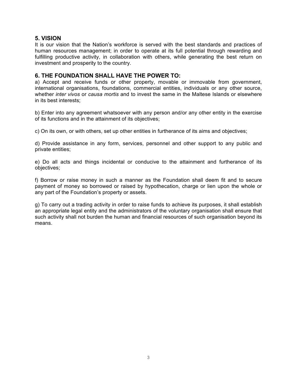## **5. VISION**

It is our vision that the Nation's workforce is served with the best standards and practices of human resources management; in order to operate at its full potential through rewarding and fulfilling productive activity, in collaboration with others, while generating the best return on investment and prosperity to the country.

## **6. THE FOUNDATION SHALL HAVE THE POWER TO:**

a) Accept and receive funds or other property, movable or immovable from government, international organisations, foundations, commercial entities, individuals or any other source, whether *inter vivos* or *causa mortis* and to invest the same in the Maltese Islands or elsewhere in its best interests;

b) Enter into any agreement whatsoever with any person and/or any other entity in the exercise of its functions and in the attainment of its objectives;

c) On its own, or with others, set up other entities in furtherance of its aims and objectives;

d) Provide assistance in any form, services, personnel and other support to any public and private entities;

e) Do all acts and things incidental or conducive to the attainment and furtherance of its objectives;

f) Borrow or raise money in such a manner as the Foundation shall deem fit and to secure payment of money so borrowed or raised by hypothecation, charge or lien upon the whole or any part of the Foundation's property or assets.

g) To carry out a trading activity in order to raise funds to achieve its purposes, it shall establish an appropriate legal entity and the administrators of the voluntary organisation shall ensure that such activity shall not burden the human and financial resources of such organisation beyond its means.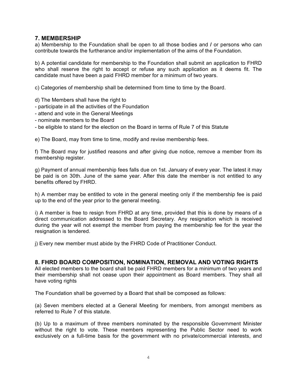## **7. MEMBERSHIP**

a) Membership to the Foundation shall be open to all those bodies and **/** or persons who can contribute towards the furtherance and/or implementation of the aims of the Foundation.

b) A potential candidate for membership to the Foundation shall submit an application to FHRD who shall reserve the right to accept or refuse any such application as it deems fit. The candidate must have been a paid FHRD member for a minimum of two years.

c) Categories of membership shall be determined from time to time by the Board.

- d) The Members shall have the right to
- participate in all the activities of the Foundation
- attend and vote in the General Meetings
- nominate members to the Board
- be eligible to stand for the election on the Board in terms of Rule 7 of this Statute

e) The Board, may from time to time, modify and revise membership fees.

f) The Board may for justified reasons and after giving due notice, remove a member from its membership register.

g) Payment of annual membership fees falls due on 1st. January of every year. The latest it may be paid is on 30th. June of the same year. After this date the member is not entitled to any benefits offered by FHRD.

h) A member may be entitled to vote in the general meeting only if the membership fee is paid up to the end of the year prior to the general meeting.

i) A member is free to resign from FHRD at any time, provided that this is done by means of a direct communication addressed to the Board Secretary. Any resignation which is received during the year will not exempt the member from paying the membership fee for the year the resignation is tendered.

j) Every new member must abide by the FHRD Code of Practitioner Conduct.

#### **8. FHRD BOARD COMPOSITION, NOMINATION, REMOVAL AND VOTING RIGHTS**

All elected members to the board shall be paid FHRD members for a minimum of two years and their membership shall not cease upon their appointment as Board members. They shall all have voting rights

The Foundation shall be governed by a Board that shall be composed as follows:

(a) Seven members elected at a General Meeting for members, from amongst members as referred to Rule 7 of this statute.

(b) Up to a maximum of three members nominated by the responsible Government Minister without the right to vote. These members representing the Public Sector need to work exclusively on a full-time basis for the government with no private/commercial interests, and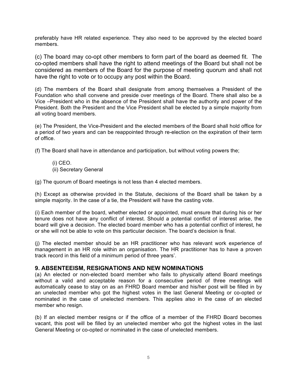preferably have HR related experience. They also need to be approved by the elected board members.

(c) The board may co-opt other members to form part of the board as deemed fit. The co-opted members shall have the right to attend meetings of the Board but shall not be considered as members of the Board for the purpose of meeting quorum and shall not have the right to vote or to occupy any post within the Board.

(d) The members of the Board shall designate from among themselves a President of the Foundation who shall convene and preside over meetings of the Board. There shall also be a Vice –President who in the absence of the President shall have the authority and power of the President. Both the President and the Vice President shall be elected by a simple majority from all voting board members.

(e) The President, the Vice-President and the elected members of the Board shall hold office for a period of two years and can be reappointed through re-election on the expiration of their term of office.

(f) The Board shall have in attendance and participation, but without voting powers the;

(i) CEO. (ii) Secretary General

(g) The quorum of Board meetings is not less than 4 elected members.

(h) Except as otherwise provided in the Statute, decisions of the Board shall be taken by a simple majority. In the case of a tie, the President will have the casting vote.

(i) Each member of the board, whether elected or appointed, must ensure that during his or her tenure does not have any conflict of interest. Should a potential conflict of interest arise, the board will give a decision. The elected board member who has a potential conflict of interest, he or she will not be able to vote on this particular decision. The board's decision is final.

(j) The elected member should be an HR practitioner who has relevant work experience of management in an HR role within an organisation. The HR practitioner has to have a proven track record in this field of a minimum period of three years'.

# **9. ABSENTEEISM, RESIGNATIONS AND NEW NOMINATIONS**

(a) An elected or non-elected board member who fails to physically attend Board meetings without a valid and acceptable reason for a consecutive period of three meetings will automatically cease to stay on as an FHRD Board member and his/her post will be filled in by an unelected member who got the highest votes in the last General Meeting or co-opted or nominated in the case of unelected members. This applies also in the case of an elected member who resign.

(b) If an elected member resigns or if the office of a member of the FHRD Board becomes vacant, this post will be filled by an unelected member who got the highest votes in the last General Meeting or co-opted or nominated in the case of unelected members.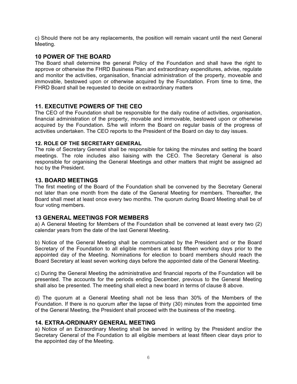c) Should there not be any replacements, the position will remain vacant until the next General Meeting.

## **10 POWER OF THE BOARD**

The Board shall determine the general Policy of the Foundation and shall have the right to approve or otherwise the FHRD Business Plan and extraordinary expenditures, advise, regulate and monitor the activities, organisation, financial administration of the property, moveable and immovable, bestowed upon or otherwise acquired by the Foundation. From time to time, the FHRD Board shall be requested to decide on extraordinary matters

## **11. EXECUTIVE POWERS OF THE CEO**

The CEO of the Foundation shall be responsible for the daily routine of activities, organisation, financial administration of the property, movable and immovable, bestowed upon or otherwise acquired by the Foundation. S/he will inform the Board on regular basis of the progress of activities undertaken. The CEO reports to the President of the Board on day to day issues.

#### **12. ROLE OF THE SECRETARY GENERAL**

The role of Secretary General shall be responsible for taking the minutes and setting the board meetings. The role includes also liaising with the CEO. The Secretary General is also responsible for organising the General Meetings and other matters that might be assigned ad hoc by the President.

#### **13. BOARD MEETINGS**

The first meeting of the Board of the Foundation shall be convened by the Secretary General not later than one month from the date of the General Meeting for members. Thereafter, the Board shall meet at least once every two months. The quorum during Board Meeting shall be of four voting members.

#### **13 GENERAL MEETINGS FOR MEMBERS**

a) A General Meeting for Members of the Foundation shall be convened at least every two (2) calendar years from the date of the last General Meeting.

b) Notice of the General Meeting shall be communicated by the President and or the Board Secretary of the Foundation to all eligible members at least fifteen working days prior to the appointed day of the Meeting. Nominations for election to board members should reach the Board Secretary at least seven working days before the appointed date of the General Meeting.

c) During the General Meeting the administrative and financial reports of the Foundation will be presented. The accounts for the periods ending December, previous to the General Meeting shall also be presented. The meeting shall elect a new board in terms of clause 8 above.

d) The quorum at a General Meeting shall not be less than 30% of the Members of the Foundation. If there is no quorum after the lapse of thirty (30) minutes from the appointed time of the General Meeting, the President shall proceed with the business of the meeting.

#### **14. EXTRA-ORDINARY GENERAL MEETING**

a) Notice of an Extraordinary Meeting shall be served in writing by the President and/or the Secretary General of the Foundation to all eligible members at least fifteen clear days prior to the appointed day of the Meeting.